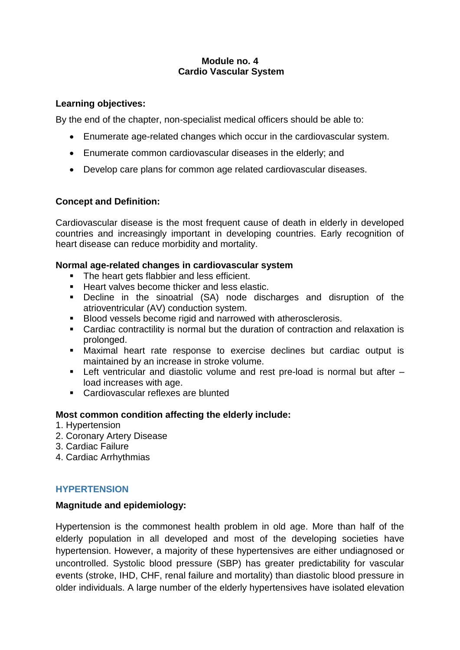## **Module no. 4 Cardio Vascular System**

### **Learning objectives:**

By the end of the chapter, non-specialist medical officers should be able to:

- Enumerate age-related changes which occur in the cardiovascular system.
- Enumerate common cardiovascular diseases in the elderly; and
- Develop care plans for common age related cardiovascular diseases.

## **Concept and Definition:**

Cardiovascular disease is the most frequent cause of death in elderly in developed countries and increasingly important in developing countries. Early recognition of heart disease can reduce morbidity and mortality.

### **Normal age-related changes in cardiovascular system**

- The heart gets flabbier and less efficient.
- Heart valves become thicker and less elastic.
- Decline in the sinoatrial (SA) node discharges and disruption of the atrioventricular (AV) conduction system.
- Blood vessels become rigid and narrowed with atherosclerosis.
- Cardiac contractility is normal but the duration of contraction and relaxation is prolonged.
- Maximal heart rate response to exercise declines but cardiac output is maintained by an increase in stroke volume.
- Left ventricular and diastolic volume and rest pre-load is normal but after load increases with age.
- Cardiovascular reflexes are blunted

### **Most common condition affecting the elderly include:**

- 1. Hypertension
- 2. Coronary Artery Disease
- 3. Cardiac Failure
- 4. Cardiac Arrhythmias

### **HYPERTENSION**

### **Magnitude and epidemiology:**

Hypertension is the commonest health problem in old age. More than half of the elderly population in all developed and most of the developing societies have hypertension. However, a majority of these hypertensives are either undiagnosed or uncontrolled. Systolic blood pressure (SBP) has greater predictability for vascular events (stroke, IHD, CHF, renal failure and mortality) than diastolic blood pressure in older individuals. A large number of the elderly hypertensives have isolated elevation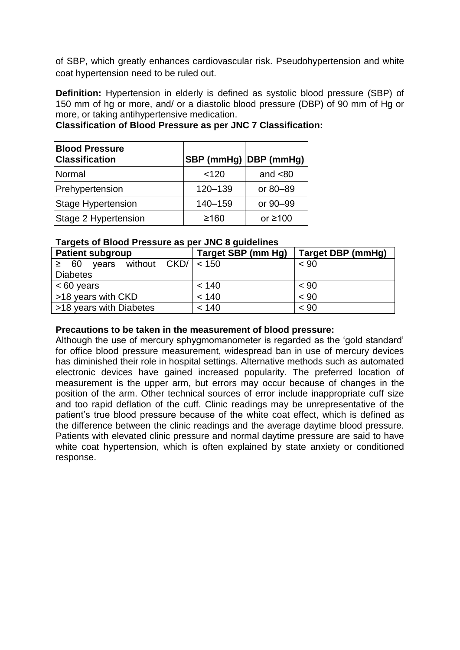of SBP, which greatly enhances cardiovascular risk. Pseudohypertension and white coat hypertension need to be ruled out.

**Definition:** Hypertension in elderly is defined as systolic blood pressure (SBP) of 150 mm of hg or more, and/ or a diastolic blood pressure (DBP) of 90 mm of Hg or more, or taking antihypertensive medication.

| <b>Blood Pressure</b><br><b>Classification</b> | SBP (mmHg) DBP (mmHg) |               |
|------------------------------------------------|-----------------------|---------------|
| Normal                                         | 120                   | and $<80$     |
| Prehypertension                                | $120 - 139$           | or 80-89      |
| <b>Stage Hypertension</b>                      | 140-159               | or 90-99      |
| Stage 2 Hypertension                           | ≥160                  | or $\geq 100$ |

# **Classification of Blood Pressure as per JNC 7 Classification:**

### **Targets of Blood Pressure as per JNC 8 guidelines**

| <b>Patient subgroup</b>                        | Target SBP (mm Hg) | Target DBP (mmHg) |
|------------------------------------------------|--------------------|-------------------|
| years without $CKD/ \nvert < 150$<br>$\geq 60$ |                    | < 90              |
| <b>Diabetes</b>                                |                    |                   |
| $< 60$ years                                   | < 140              | $~<$ 90           |
| >18 years with CKD                             | < 140              | < 90              |
| >18 years with Diabetes                        | < 140              | < 90              |

#### **Precautions to be taken in the measurement of blood pressure:**

Although the use of mercury sphygmomanometer is regarded as the 'gold standard' for office blood pressure measurement, widespread ban in use of mercury devices has diminished their role in hospital settings. Alternative methods such as automated electronic devices have gained increased popularity. The preferred location of measurement is the upper arm, but errors may occur because of changes in the position of the arm. Other technical sources of error include inappropriate cuff size and too rapid deflation of the cuff. Clinic readings may be unrepresentative of the patient's true blood pressure because of the white coat effect, which is defined as the difference between the clinic readings and the average daytime blood pressure. Patients with elevated clinic pressure and normal daytime pressure are said to have white coat hypertension, which is often explained by state anxiety or conditioned response.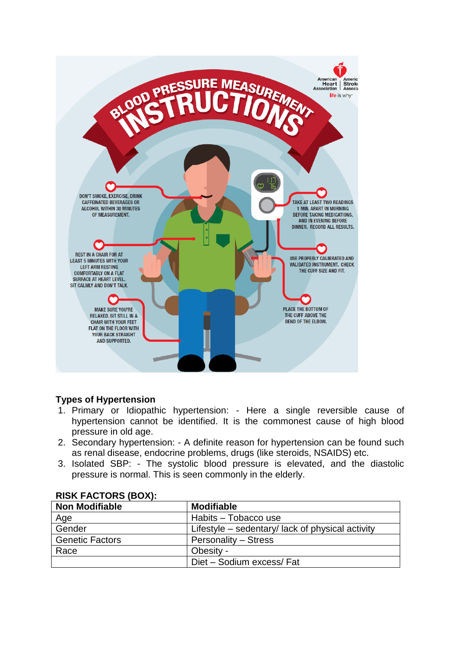

# **Types of Hypertension**

- 1. Primary or Idiopathic hypertension: Here a single reversible cause of hypertension cannot be identified. It is the commonest cause of high blood pressure in old age.
- 2. Secondary hypertension: A definite reason for hypertension can be found such as renal disease, endocrine problems, drugs (like steroids, NSAIDS) etc.
- 3. Isolated SBP: The systolic blood pressure is elevated, and the diastolic pressure is normal. This is seen commonly in the elderly.

| <b>Non Modifiable</b>  | <b>Modifiable</b>                                |
|------------------------|--------------------------------------------------|
| Age                    | Habits – Tobacco use                             |
| Gender                 | Lifestyle – sedentary/ lack of physical activity |
| <b>Genetic Factors</b> | <b>Personality – Stress</b>                      |
| Race                   | Obesity -                                        |
|                        | Diet - Sodium excess/ Fat                        |

### **RISK FACTORS (BOX):**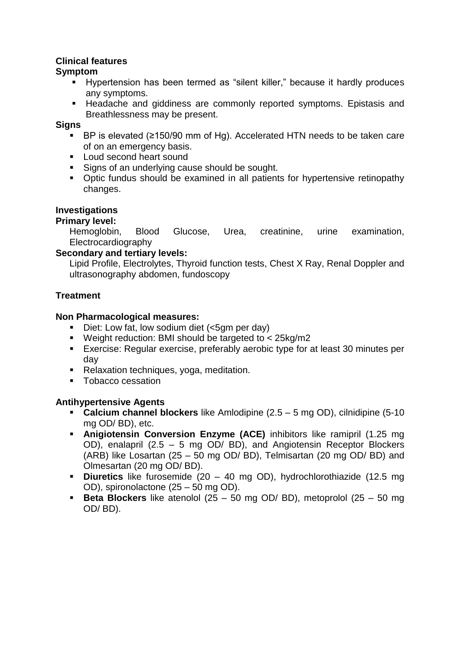## **Clinical features**

## **Symptom**

- Hypertension has been termed as "silent killer," because it hardly produces any symptoms.
- Headache and giddiness are commonly reported symptoms. Epistasis and Breathlessness may be present.

### **Signs**

- BP is elevated (≥150/90 mm of Hg). Accelerated HTN needs to be taken care of on an emergency basis.
- Loud second heart sound
- Signs of an underlying cause should be sought.
- Optic fundus should be examined in all patients for hypertensive retinopathy changes.

## **Investigations**

## **Primary level:**

Hemoglobin, Blood Glucose, Urea, creatinine, urine examination, Electrocardiography

## **Secondary and tertiary levels:**

Lipid Profile, Electrolytes, Thyroid function tests, Chest X Ray, Renal Doppler and ultrasonography abdomen, fundoscopy

## **Treatment**

### **Non Pharmacological measures:**

- Diet: Low fat, low sodium diet (<5gm per day)
- Weight reduction: BMI should be targeted to < 25kg/m2
- Exercise: Regular exercise, preferably aerobic type for at least 30 minutes per day
- Relaxation techniques, yoga, meditation.
- Tobacco cessation

# **Antihypertensive Agents**

- **Calcium channel blockers** like Amlodipine (2.5 5 mg OD), cilnidipine (5-10 mg OD/ BD), etc.
- **Anigiotensin Conversion Enzyme (ACE)** inhibitors like ramipril (1.25 mg OD), enalapril (2.5 – 5 mg OD/ BD), and Angiotensin Receptor Blockers (ARB) like Losartan (25 – 50 mg OD/ BD), Telmisartan (20 mg OD/ BD) and Olmesartan (20 mg OD/ BD).
- **Diuretics** like furosemide (20 40 mg OD), hydrochlorothiazide (12.5 mg OD), spironolactone (25 – 50 mg OD).
- **Βeta Blockers** like atenolol (25 50 mg OD/ BD), metoprolol (25 50 mg OD/ BD).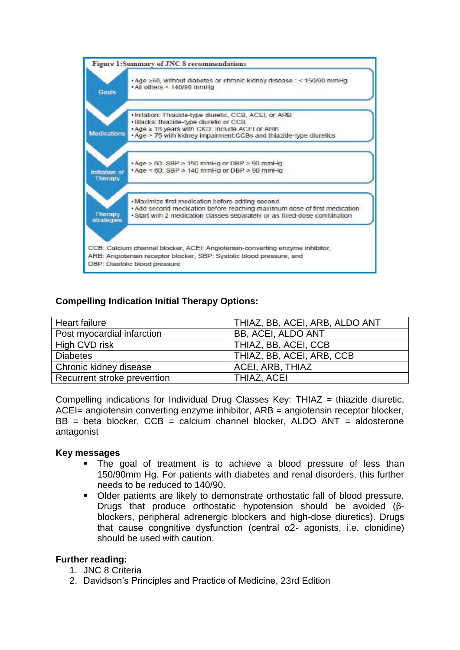

# **Compelling Indication Initial Therapy Options:**

| Heart failure               | THIAZ, BB, ACEI, ARB, ALDO ANT |
|-----------------------------|--------------------------------|
| Post myocardial infarction  | <b>BB, ACEI, ALDO ANT</b>      |
| High CVD risk               | THIAZ, BB, ACEI, CCB           |
| <b>Diabetes</b>             | THIAZ, BB, ACEI, ARB, CCB      |
| Chronic kidney disease      | ACEI, ARB, THIAZ               |
| Recurrent stroke prevention | THIAZ, ACEI                    |

Compelling indications for Individual Drug Classes Key: THIAZ = thiazide diuretic, ACEI= angiotensin converting enzyme inhibitor, ARB = angiotensin receptor blocker,  $BB = beta$  blocker,  $CCB = calcium$  channel blocker, ALDO ANT = aldosterone antagonist

#### **Key messages**

- The goal of treatment is to achieve a blood pressure of less than 150/90mm Hg. For patients with diabetes and renal disorders, this further needs to be reduced to 140/90.
- Older patients are likely to demonstrate orthostatic fall of blood pressure. Drugs that produce orthostatic hypotension should be avoided (βblockers, peripheral adrenergic blockers and high-dose diuretics). Drugs that cause congnitive dysfunction (central α2- agonists, i.e. clonidine) should be used with caution.

#### **Further reading:**

- 1. JNC 8 Criteria
- 2. Davidson's Principles and Practice of Medicine, 23rd Edition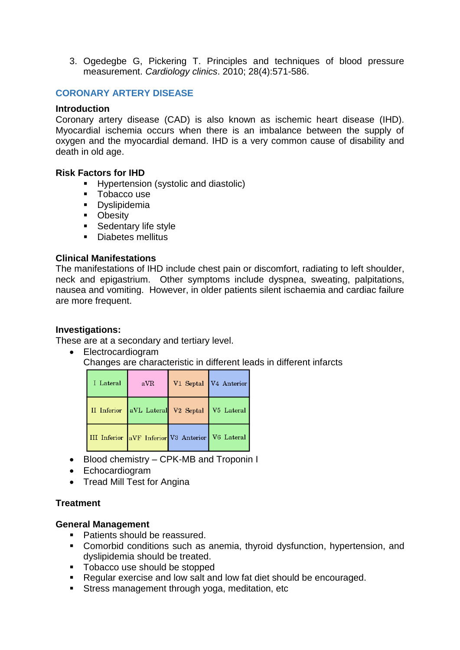3. Ogedegbe G, Pickering T. Principles and techniques of blood pressure measurement. *Cardiology clinics*. 2010; 28(4):571-586.

## **CORONARY ARTERY DISEASE**

#### **Introduction**

Coronary artery disease (CAD) is also known as ischemic heart disease (IHD). Myocardial ischemia occurs when there is an imbalance between the supply of oxygen and the myocardial demand. IHD is a very common cause of disability and death in old age.

#### **Risk Factors for IHD**

- Hypertension (systolic and diastolic)
- Tobacco use
- **•** Dyslipidemia
- Obesity
- **EXEC** Sedentary life style
- Diabetes mellitus

#### **Clinical Manifestations**

The manifestations of IHD include chest pain or discomfort, radiating to left shoulder, neck and epigastrium. Other symptoms include dyspnea, sweating, palpitations, nausea and vomiting. However, in older patients silent ischaemia and cardiac failure are more frequent.

#### **Investigations:**

These are at a secondary and tertiary level.

• Electrocardiogram Changes are characteristic in different leads in different infarcts

| I Lateral | aVR | V1 Septal V4 Anterior                            |
|-----------|-----|--------------------------------------------------|
|           |     | II Inferior aVL Lateral V2 Septal V5 Lateral     |
|           |     | III Inferior aVF Inferior V3 Anterior V6 Lateral |

- Blood chemistry CPK-MB and Troponin I
- Echocardiogram
- Tread Mill Test for Angina

### **Treatment**

#### **General Management**

- Patients should be reassured.
- Comorbid conditions such as anemia, thyroid dysfunction, hypertension, and dyslipidemia should be treated.
- Tobacco use should be stopped
- Regular exercise and low salt and low fat diet should be encouraged.
- Stress management through yoga, meditation, etc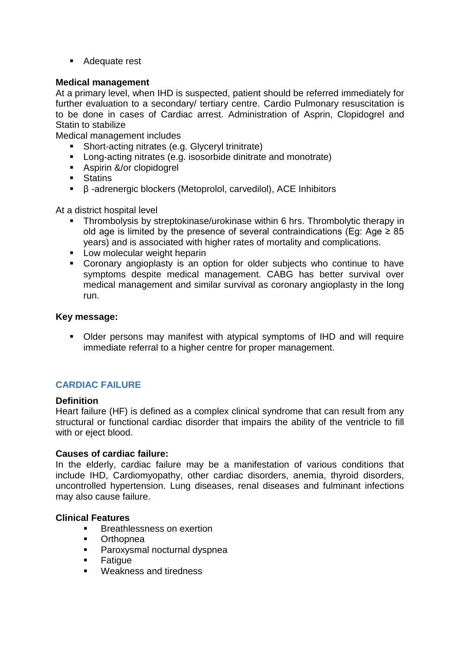■ Adequate rest

### **Medical management**

At a primary level, when IHD is suspected, patient should be referred immediately for further evaluation to a secondary/ tertiary centre. Cardio Pulmonary resuscitation is to be done in cases of Cardiac arrest. Administration of Asprin, Clopidogrel and Statin to stabilize

Medical management includes

- Short-acting nitrates (e.g. Glyceryl trinitrate)
- Long-acting nitrates (e.g. isosorbide dinitrate and monotrate)
- Aspirin &/or clopidogrel
- Statins
- β -adrenergic blockers (Metoprolol, carvedilol), ACE Inhibitors

At a district hospital level

- Thrombolysis by streptokinase/urokinase within 6 hrs. Thrombolytic therapy in old age is limited by the presence of several contraindications (Eg: Age  $\geq 85$ ) years) and is associated with higher rates of mortality and complications.
- Low molecular weight heparin
- Coronary angioplasty is an option for older subjects who continue to have symptoms despite medical management. CABG has better survival over medical management and similar survival as coronary angioplasty in the long run.

### **Key message:**

▪ Older persons may manifest with atypical symptoms of IHD and will require immediate referral to a higher centre for proper management.

# **CARDIAC FAILURE**

### **Definition**

Heart failure (HF) is defined as a complex clinical syndrome that can result from any structural or functional cardiac disorder that impairs the ability of the ventricle to fill with or eject blood.

### **Causes of cardiac failure:**

In the elderly, cardiac failure may be a manifestation of various conditions that include IHD, Cardiomyopathy, other cardiac disorders, anemia, thyroid disorders, uncontrolled hypertension. Lung diseases, renal diseases and fulminant infections may also cause failure.

### **Clinical Features**

- **Breathlessness on exertion**
- Orthopnea
- Paroxysmal nocturnal dyspnea
- Fatigue
- Weakness and tiredness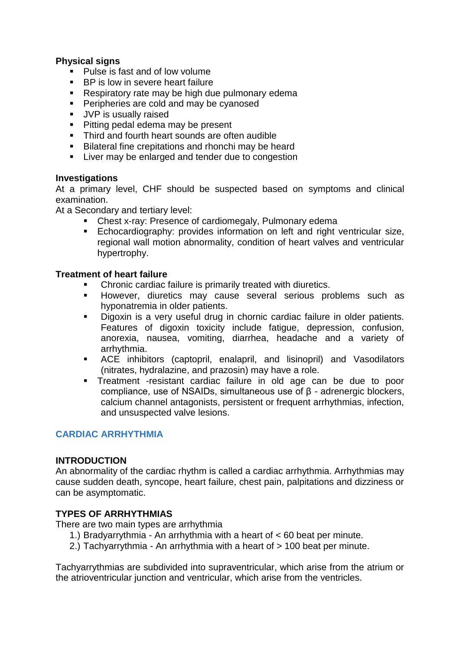## **Physical signs**

- Pulse is fast and of low volume
- BP is low in severe heart failure
- Respiratory rate may be high due pulmonary edema
- Peripheries are cold and may be cyanosed
- **■** JVP is usually raised
- Pitting pedal edema may be present
- Third and fourth heart sounds are often audible
- Bilateral fine crepitations and rhonchi may be heard
- Liver may be enlarged and tender due to congestion

### **Investigations**

At a primary level, CHF should be suspected based on symptoms and clinical examination.

At a Secondary and tertiary level:

- Chest x-ray: Presence of cardiomegaly, Pulmonary edema
- **Echocardiography: provides information on left and right ventricular size,** regional wall motion abnormality, condition of heart valves and ventricular hypertrophy.

### **Treatment of heart failure**

- Chronic cardiac failure is primarily treated with diuretics.
- However, diuretics may cause several serious problems such as hyponatremia in older patients.
- Digoxin is a very useful drug in chornic cardiac failure in older patients. Features of digoxin toxicity include fatigue, depression, confusion, anorexia, nausea, vomiting, diarrhea, headache and a variety of arrhythmia.
- ACE inhibitors (captopril, enalapril, and lisinopril) and Vasodilators (nitrates, hydralazine, and prazosin) may have a role.
- Treatment -resistant cardiac failure in old age can be due to poor compliance, use of NSAIDs, simultaneous use of β - adrenergic blockers, calcium channel antagonists, persistent or frequent arrhythmias, infection, and unsuspected valve lesions.

### **CARDIAC ARRHYTHMIA**

### **INTRODUCTION**

An abnormality of the cardiac rhythm is called a cardiac arrhythmia. Arrhythmias may cause sudden death, syncope, heart failure, chest pain, palpitations and dizziness or can be asymptomatic.

### **TYPES OF ARRHYTHMIAS**

There are two main types are arrhythmia

- 1.) Bradyarrythmia An arrhythmia with a heart of < 60 beat per minute.
- 2.) Tachyarrythmia An arrhythmia with a heart of > 100 beat per minute.

Tachyarrythmias are subdivided into supraventricular, which arise from the atrium or the atrioventricular junction and ventricular, which arise from the ventricles.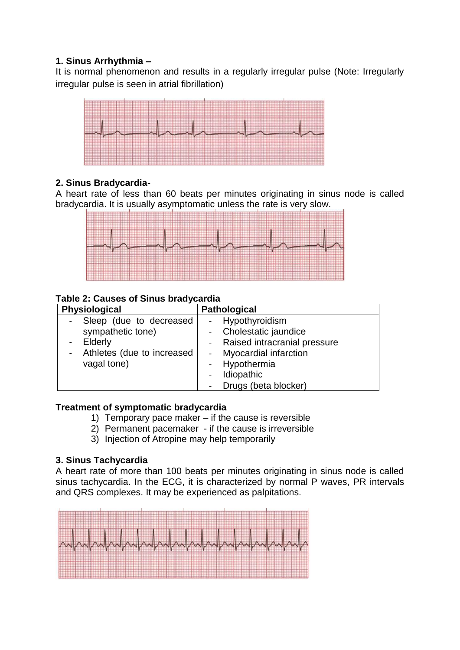# **1. Sinus Arrhythmia –**

It is normal phenomenon and results in a regularly irregular pulse (Note: Irregularly irregular pulse is seen in atrial fibrillation)



# **2. Sinus Bradycardia-**

A heart rate of less than 60 beats per minutes originating in sinus node is called bradycardia. It is usually asymptomatic unless the rate is very slow.



# **Table 2: Causes of Sinus bradycardia**

| <b>Physiological</b>         | <b>Pathological</b>          |  |
|------------------------------|------------------------------|--|
| Sleep (due to decreased      | Hypothyroidism               |  |
| sympathetic tone)            | Cholestatic jaundice         |  |
| - Elderly                    | Raised intracranial pressure |  |
| - Athletes (due to increased | - Myocardial infarction      |  |
| vagal tone)                  | Hypothermia                  |  |
|                              | Idiopathic                   |  |
|                              | Drugs (beta blocker)         |  |

### **Treatment of symptomatic bradycardia**

- 1) Temporary pace maker if the cause is reversible
- 2) Permanent pacemaker if the cause is irreversible
- 3) Injection of Atropine may help temporarily

# **3. Sinus Tachycardia**

A heart rate of more than 100 beats per minutes originating in sinus node is called sinus tachycardia. In the ECG, it is characterized by normal P waves, PR intervals and QRS complexes. It may be experienced as palpitations.

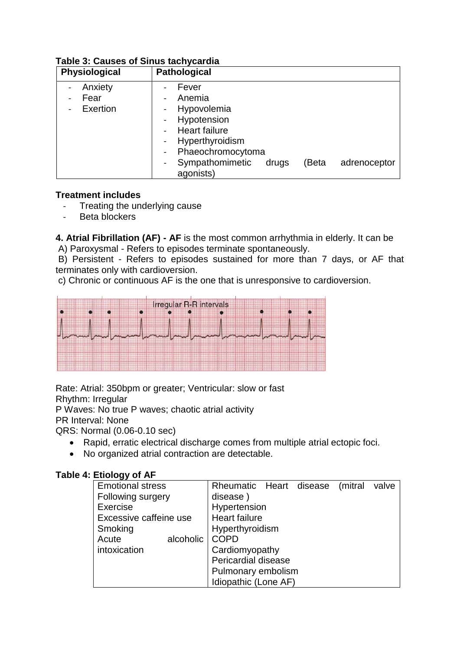| Physiological               | <b>Pathological</b>                                                                                                                                                                                             |
|-----------------------------|-----------------------------------------------------------------------------------------------------------------------------------------------------------------------------------------------------------------|
| Anxiety<br>Fear<br>Exertion | Fever<br>Anemia<br>Hypovolemia<br>Hypotension<br><b>Heart failure</b><br>Hyperthyroidism<br>Phaeochromocytoma<br>$\qquad \qquad \blacksquare$<br>Sympathomimetic<br>(Beta<br>drugs<br>adrenoceptor<br>agonists) |

# **Table 3: Causes of Sinus tachycardia**

### **Treatment includes**

- Treating the underlying cause
- Beta blockers

**4. Atrial Fibrillation (AF) - AF** is the most common arrhythmia in elderly. It can be A) Paroxysmal - Refers to episodes terminate spontaneously.

B) Persistent - Refers to episodes sustained for more than 7 days, or AF that terminates only with cardioversion.

c) Chronic or continuous AF is the one that is unresponsive to cardioversion.



Rate: Atrial: 350bpm or greater; Ventricular: slow or fast

Rhythm: Irregular

P Waves: No true P waves; chaotic atrial activity

PR Interval: None

QRS: Normal (0.06-0.10 sec)

- Rapid, erratic electrical discharge comes from multiple atrial ectopic foci.
- No organized atrial contraction are detectable.

# **Table 4: Etiology of AF**

| --                       |                                          |
|--------------------------|------------------------------------------|
| <b>Emotional stress</b>  | Rheumatic Heart disease (mitral<br>valve |
| <b>Following surgery</b> | disease)                                 |
| Exercise                 | Hypertension                             |
| Excessive caffeine use   | <b>Heart failure</b>                     |
| Smoking                  | Hyperthyroidism                          |
| alcoholic<br>Acute       | <b>COPD</b>                              |
| intoxication             | Cardiomyopathy                           |
|                          | Pericardial disease                      |
|                          | Pulmonary embolism                       |
|                          | Idiopathic (Lone AF)                     |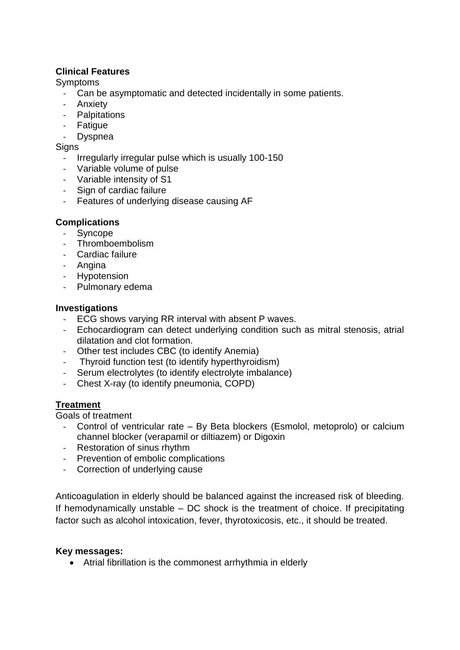# **Clinical Features**

**Symptoms** 

- Can be asymptomatic and detected incidentally in some patients.
- Anxiety
- Palpitations
- Fatigue
- Dyspnea

**Signs** 

- Irregularly irregular pulse which is usually 100-150
- Variable volume of pulse
- Variable intensity of S1
- Sign of cardiac failure
- Features of underlying disease causing AF

# **Complications**

- Syncope
- Thromboembolism
- Cardiac failure
- Angina
- **Hypotension**
- Pulmonary edema

### **Investigations**

- ECG shows varying RR interval with absent P waves.
- Echocardiogram can detect underlying condition such as mitral stenosis, atrial dilatation and clot formation.
- Other test includes CBC (to identify Anemia)
- Thyroid function test (to identify hyperthyroidism)
- Serum electrolytes (to identify electrolyte imbalance)
- Chest X-ray (to identify pneumonia, COPD)

# **Treatment**

Goals of treatment

- Control of ventricular rate By Beta blockers (Esmolol, metoprolo) or calcium channel blocker (verapamil or diltiazem) or Digoxin
- Restoration of sinus rhythm
- Prevention of embolic complications
- Correction of underlying cause

Anticoagulation in elderly should be balanced against the increased risk of bleeding. If hemodynamically unstable – DC shock is the treatment of choice. If precipitating factor such as alcohol intoxication, fever, thyrotoxicosis, etc., it should be treated.

### **Key messages:**

• Atrial fibrillation is the commonest arrhythmia in elderly